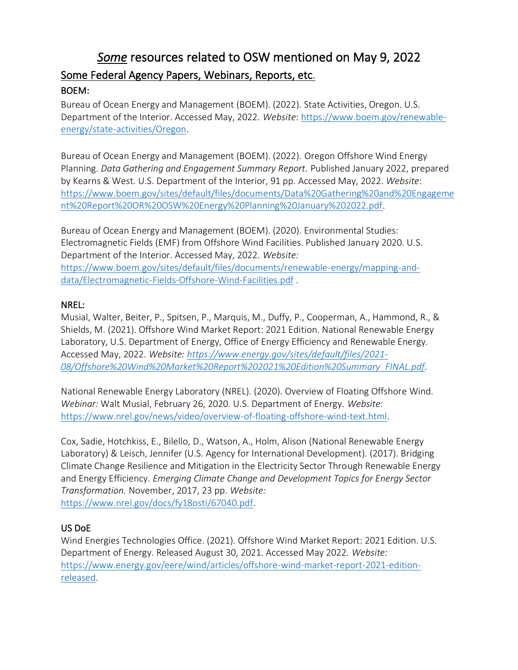# *Some* resources related to OSW mentioned on May 9, 2022 Some Federal Agency Papers, Webinars, Reports, etc.

#### BOEM:

Bureau of Ocean Energy and Management (BOEM). (2022). State Activities, Oregon. U.S. Department of the Interior. Accessed May, 2022. *Website*[: https://www.boem.gov/renewable](https://www.boem.gov/renewable-energy/state-activities/Oregon)[energy/state-activities/Oregon.](https://www.boem.gov/renewable-energy/state-activities/Oregon)

Bureau of Ocean Energy and Management (BOEM). (2022). Oregon Offshore Wind Energy Planning. *Data Gathering and Engagement Summary Report.* Published January 2022, prepared by Kearns & West. U.S. Department of the Interior, 91 pp. Accessed May, 2022. *Website*: [https://www.boem.gov/sites/default/files/documents/Data%20Gathering%20and%20Engageme](https://www.boem.gov/sites/default/files/documents/Data%20Gathering%20and%20Engagement%20Report%20OR%20OSW%20Energy%20Planning%20January%202022.pdf) [nt%20Report%20OR%20OSW%20Energy%20Planning%20January%202022.pdf.](https://www.boem.gov/sites/default/files/documents/Data%20Gathering%20and%20Engagement%20Report%20OR%20OSW%20Energy%20Planning%20January%202022.pdf)

Bureau of Ocean Energy and Management (BOEM). (2020). Environmental Studies: Electromagnetic Fields (EMF) from Offshore Wind Facilities. Published January 2020. U.S. Department of the Interior. Accessed May, 2022. *Website:*  [https://www.boem.gov/sites/default/files/documents/renewable-energy/mapping-and](https://www.boem.gov/sites/default/files/documents/renewable-energy/mapping-and-data/Electromagnetic-Fields-Offshore-Wind-Facilities.pdf)[data/Electromagnetic-Fields-Offshore-Wind-Facilities.pdf](https://www.boem.gov/sites/default/files/documents/renewable-energy/mapping-and-data/Electromagnetic-Fields-Offshore-Wind-Facilities.pdf) .

#### NREL:

Musial, Walter, Beiter, P., Spitsen, P., Marquis, M., Duffy, P., Cooperman, A., Hammond, R., & Shields, M. (2021). Offshore Wind Market Report: 2021 Edition. National Renewable Energy Laboratory, U.S. Department of Energy, Office of Energy Efficiency and Renewable Energy. Accessed May, 2022. *Website: [https://www.energy.gov/sites/default/files/2021-](https://www.energy.gov/sites/default/files/2021-08/Offshore%20Wind%20Market%20Report%202021%20Edition%20Summary_FINAL.pdf) [08/Offshore%20Wind%20Market%20Report%202021%20Edition%20Summary\\_FINAL.pdf.](https://www.energy.gov/sites/default/files/2021-08/Offshore%20Wind%20Market%20Report%202021%20Edition%20Summary_FINAL.pdf)* 

National Renewable Energy Laboratory (NREL). (2020). Overview of Floating Offshore Wind. *Webinar:* Walt Musial, February 26, 2020. U.S. Department of Energy. *Website:*  [https://www.nrel.gov/news/video/overview-of-floating-offshore-wind-text.html.](https://www.nrel.gov/news/video/overview-of-floating-offshore-wind-text.html)

Cox, Sadie, Hotchkiss, E., Bilello, D., Watson, A., Holm, Alison (National Renewable Energy Laboratory) & Leisch, Jennifer (U.S. Agency for International Development). (2017). Bridging Climate Change Resilience and Mitigation in the Electricity Sector Through Renewable Energy and Energy Efficiency. *Emerging Climate Change and Development Topics for Energy Sector Transformation.* November, 2017, 23 pp. *Website:*  [https://www.nrel.gov/docs/fy18osti/67040.pdf.](https://www.nrel.gov/docs/fy18osti/67040.pdf)

#### US DoE

Wind Energies Technologies Office. (2021). Offshore Wind Market Report: 2021 Edition. U.S. Department of Energy. Released August 30, 2021. Accessed May 2022. *Website:*  [https://www.energy.gov/eere/wind/articles/offshore-wind-market-report-2021-edition](https://www.energy.gov/eere/wind/articles/offshore-wind-market-report-2021-edition-released)[released.](https://www.energy.gov/eere/wind/articles/offshore-wind-market-report-2021-edition-released)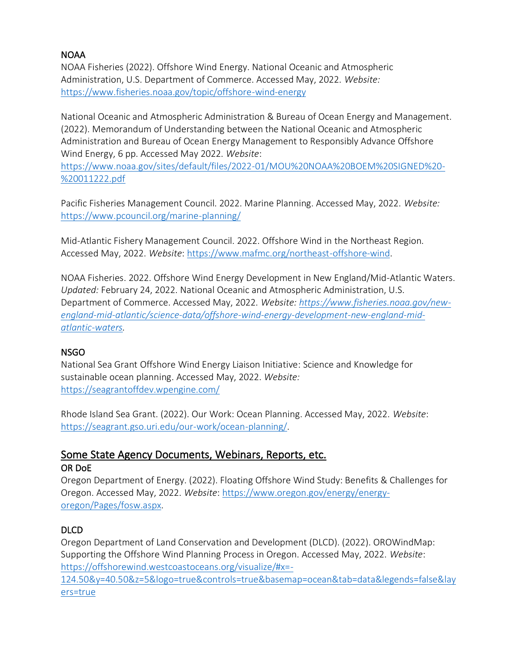#### NOAA

NOAA Fisheries (2022). Offshore Wind Energy. National Oceanic and Atmospheric Administration, U.S. Department of Commerce. Accessed May, 2022. *Website:* <https://www.fisheries.noaa.gov/topic/offshore-wind-energy>

National Oceanic and Atmospheric Administration & Bureau of Ocean Energy and Management. (2022). Memorandum of Understanding between the National Oceanic and Atmospheric Administration and Bureau of Ocean Energy Management to Responsibly Advance Offshore Wind Energy, 6 pp. Accessed May 2022. *Website*:

[https://www.noaa.gov/sites/default/files/2022-01/MOU%20NOAA%20BOEM%20SIGNED%20-](https://www.noaa.gov/sites/default/files/2022-01/MOU%20NOAA%20BOEM%20SIGNED%20-%20011222.pdf) [%20011222.pdf](https://www.noaa.gov/sites/default/files/2022-01/MOU%20NOAA%20BOEM%20SIGNED%20-%20011222.pdf)

Pacific Fisheries Management Council. 2022. Marine Planning. Accessed May, 2022. *Website:*  <https://www.pcouncil.org/marine-planning/>

Mid-Atlantic Fishery Management Council. 2022. Offshore Wind in the Northeast Region. Accessed May, 2022. *Website*: [https://www.mafmc.org/northeast-offshore-wind.](https://www.mafmc.org/northeast-offshore-wind)

NOAA Fisheries. 2022. Offshore Wind Energy Development in New England/Mid-Atlantic Waters. *Updated:* February 24, 2022. National Oceanic and Atmospheric Administration, U.S. Department of Commerce. Accessed May, 2022. *Website: [https://www.fisheries.noaa.gov/new](https://www.fisheries.noaa.gov/new-england-mid-atlantic/science-data/offshore-wind-energy-development-new-england-mid-atlantic-waters)[england-mid-atlantic/science-data/offshore-wind-energy-development-new-england-mid](https://www.fisheries.noaa.gov/new-england-mid-atlantic/science-data/offshore-wind-energy-development-new-england-mid-atlantic-waters)[atlantic-waters.](https://www.fisheries.noaa.gov/new-england-mid-atlantic/science-data/offshore-wind-energy-development-new-england-mid-atlantic-waters)*

#### NSGO

National Sea Grant Offshore Wind Energy Liaison Initiative: Science and Knowledge for sustainable ocean planning. Accessed May, 2022. *Website:*  <https://seagrantoffdev.wpengine.com/>

Rhode Island Sea Grant. (2022). Our Work: Ocean Planning. Accessed May, 2022. *Website*: [https://seagrant.gso.uri.edu/our-work/ocean-planning/.](https://seagrant.gso.uri.edu/our-work/ocean-planning/)

#### Some State Agency Documents, Webinars, Reports, etc. OR DoE

Oregon Department of Energy. (2022). Floating Offshore Wind Study: Benefits & Challenges for Oregon. Accessed May, 2022. *Website*[: https://www.oregon.gov/energy/energy](https://www.oregon.gov/energy/energy-oregon/Pages/fosw.aspx)[oregon/Pages/fosw.aspx.](https://www.oregon.gov/energy/energy-oregon/Pages/fosw.aspx)

#### DLCD

Oregon Department of Land Conservation and Development (DLCD). (2022). OROWindMap: Supporting the Offshore Wind Planning Process in Oregon. Accessed May, 2022. *Website*: [https://offshorewind.westcoastoceans.org/visualize/#x=-](https://offshorewind.westcoastoceans.org/visualize/#x=-124.50&y=40.50&z=5&logo=true&controls=true&basemap=ocean&tab=data&legends=false&layers=true)

[124.50&y=40.50&z=5&logo=true&controls=true&basemap=ocean&tab=data&legends=false&lay](https://offshorewind.westcoastoceans.org/visualize/#x=-124.50&y=40.50&z=5&logo=true&controls=true&basemap=ocean&tab=data&legends=false&layers=true) [ers=true](https://offshorewind.westcoastoceans.org/visualize/#x=-124.50&y=40.50&z=5&logo=true&controls=true&basemap=ocean&tab=data&legends=false&layers=true)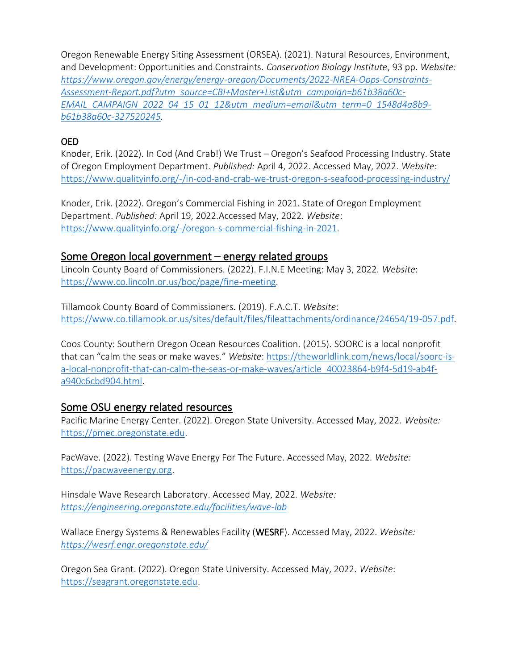Oregon Renewable Energy Siting Assessment (ORSEA). (2021). Natural Resources, Environment, and Development: Opportunities and Constraints. *Conservation Biology Institute*, 93 pp. *Website: [https://www.oregon.gov/energy/energy-oregon/Documents/2022-NREA-Opps-Constraints-](https://www.oregon.gov/energy/energy-oregon/Documents/2022-NREA-Opps-Constraints-Assessment-Report.pdf?utm_source=CBI+Master+List&utm_campaign=b61b38a60c-EMAIL_CAMPAIGN_2022_04_15_01_12&utm_medium=email&utm_term=0_1548d4a8b9-b61b38a60c-327520245)[Assessment-Report.pdf?utm\\_source=CBI+Master+List&utm\\_campaign=b61b38a60c-](https://www.oregon.gov/energy/energy-oregon/Documents/2022-NREA-Opps-Constraints-Assessment-Report.pdf?utm_source=CBI+Master+List&utm_campaign=b61b38a60c-EMAIL_CAMPAIGN_2022_04_15_01_12&utm_medium=email&utm_term=0_1548d4a8b9-b61b38a60c-327520245)[EMAIL\\_CAMPAIGN\\_2022\\_04\\_15\\_01\\_12&utm\\_medium=email&utm\\_term=0\\_1548d4a8b9](https://www.oregon.gov/energy/energy-oregon/Documents/2022-NREA-Opps-Constraints-Assessment-Report.pdf?utm_source=CBI+Master+List&utm_campaign=b61b38a60c-EMAIL_CAMPAIGN_2022_04_15_01_12&utm_medium=email&utm_term=0_1548d4a8b9-b61b38a60c-327520245) [b61b38a60c-327520245.](https://www.oregon.gov/energy/energy-oregon/Documents/2022-NREA-Opps-Constraints-Assessment-Report.pdf?utm_source=CBI+Master+List&utm_campaign=b61b38a60c-EMAIL_CAMPAIGN_2022_04_15_01_12&utm_medium=email&utm_term=0_1548d4a8b9-b61b38a60c-327520245)*

### OED

Knoder, Erik. (2022). In Cod (And Crab!) We Trust – Oregon's Seafood Processing Industry. State of Oregon Employment Department. *Published:* April 4, 2022. Accessed May, 2022. *Website*: <https://www.qualityinfo.org/-/in-cod-and-crab-we-trust-oregon-s-seafood-processing-industry/>

Knoder, Erik. (2022). Oregon's Commercial Fishing in 2021. State of Oregon Employment Department. *Published:* April 19, 2022.Accessed May, 2022. *Website*: [https://www.qualityinfo.org/-/oregon-s-commercial-fishing-in-2021.](https://www.qualityinfo.org/-/oregon-s-commercial-fishing-in-2021)

## Some Oregon local government – energy related groups

Lincoln County Board of Commissioners. (2022). F.I.N.E Meeting: May 3, 2022. *Website*: [https://www.co.lincoln.or.us/boc/page/fine-meeting.](https://www.co.lincoln.or.us/boc/page/fine-meeting)

Tillamook County Board of Commissioners. (2019). F.A.C.T. *Website*: [https://www.co.tillamook.or.us/sites/default/files/fileattachments/ordinance/24654/19-057.pdf.](https://www.co.tillamook.or.us/sites/default/files/fileattachments/ordinance/24654/19-057.pdf)

Coos County: Southern Oregon Ocean Resources Coalition. (2015). SOORC is a local nonprofit that can "calm the seas or make waves." *Website*[: https://theworldlink.com/news/local/soorc-is](https://theworldlink.com/news/local/soorc-is-a-local-nonprofit-that-can-calm-the-seas-or-make-waves/article_40023864-b9f4-5d19-ab4f-a940c6cbd904.html)[a-local-nonprofit-that-can-calm-the-seas-or-make-waves/article\\_40023864-b9f4-5d19-ab4f](https://theworldlink.com/news/local/soorc-is-a-local-nonprofit-that-can-calm-the-seas-or-make-waves/article_40023864-b9f4-5d19-ab4f-a940c6cbd904.html)[a940c6cbd904.html.](https://theworldlink.com/news/local/soorc-is-a-local-nonprofit-that-can-calm-the-seas-or-make-waves/article_40023864-b9f4-5d19-ab4f-a940c6cbd904.html)

#### Some OSU energy related resources

Pacific Marine Energy Center. (2022). Oregon State University. Accessed May, 2022. *Website:*  [https://pmec.oregonstate.edu.](https://pmec.oregonstate.edu/)

PacWave. (2022). Testing Wave Energy For The Future. Accessed May, 2022. *Website:*  [https://pacwaveenergy.org.](https://pacwaveenergy.org/)

Hinsdale Wave Research Laboratory. Accessed May, 2022. *Website: <https://engineering.oregonstate.edu/facilities/wave-lab>*

Wallace Energy Systems & Renewables Facility (WESRF). Accessed May, 2022. *Website: <https://wesrf.engr.oregonstate.edu/>*

Oregon Sea Grant. (2022). Oregon State University. Accessed May, 2022. *Website*: [https://seagrant.oregonstate.edu.](https://seagrant.oregonstate.edu/)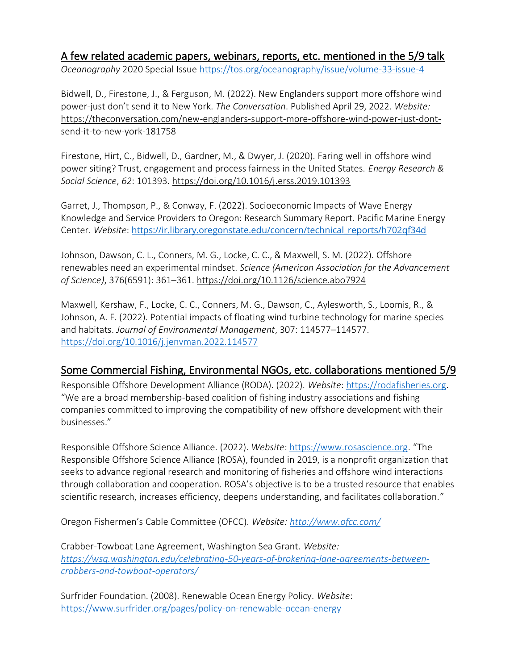## A few related academic papers, webinars, reports, etc. mentioned in the 5/9 talk *Oceanography* 2020 Special Issue<https://tos.org/oceanography/issue/volume-33-issue-4>

Bidwell, D., Firestone, J., & Ferguson, M. (2022). New Englanders support more offshore wind power-just don't send it to New York. *The Conversation*. Published April 29, 2022. *Website:* [https://theconversation.com/new-englanders-support-more-offshore-wind-power-just-dont](https://theconversation.com/new-englanders-support-more-offshore-wind-power-just-dont-send-it-to-new-york-181758)[send-it-to-new-york-181758](https://theconversation.com/new-englanders-support-more-offshore-wind-power-just-dont-send-it-to-new-york-181758)

Firestone, Hirt, C., Bidwell, D., Gardner, M., & Dwyer, J. (2020). Faring well in offshore wind power siting? Trust, engagement and process fairness in the United States. *Energy Research & Social Science*, *62*: 101393.<https://doi.org/10.1016/j.erss.2019.101393>

Garret, J., Thompson, P., & Conway, F. (2022). Socioeconomic Impacts of Wave Energy Knowledge and Service Providers to Oregon: Research Summary Report. Pacific Marine Energy Center. *Website*: [https://ir.library.oregonstate.edu/concern/technical\\_reports/h702qf34d](https://ir.library.oregonstate.edu/concern/technical_reports/h702qf34d)

Johnson, Dawson, C. L., Conners, M. G., Locke, C. C., & Maxwell, S. M. (2022). Offshore renewables need an experimental mindset. *Science (American Association for the Advancement of Science)*, 376(6591): 361–361.<https://doi.org/10.1126/science.abo7924>

Maxwell, Kershaw, F., Locke, C. C., Conners, M. G., Dawson, C., Aylesworth, S., Loomis, R., & Johnson, A. F. (2022). Potential impacts of floating wind turbine technology for marine species and habitats. *Journal of Environmental Management*, 307: 114577–114577. <https://doi.org/10.1016/j.jenvman.2022.114577>

# Some Commercial Fishing, Environmental NGOs, etc. collaborations mentioned 5/9

Responsible Offshore Development Alliance (RODA). (2022). *Website*: [https://rodafisheries.org.](https://rodafisheries.org/) "We are a broad membership-based coalition of fishing industry associations and fishing companies committed to improving the compatibility of new offshore development with their businesses."

Responsible Offshore Science Alliance. (2022). *Website*: [https://www.rosascience.org](https://www.rosascience.org/). "The Responsible Offshore Science Alliance (ROSA), founded in 2019, is a nonprofit organization that seeks to advance regional research and monitoring of fisheries and offshore wind interactions through collaboration and cooperation. ROSA's objective is to be a trusted resource that enables scientific research, increases efficiency, deepens understanding, and facilitates collaboration."

Oregon Fishermen's Cable Committee (OFCC). *Website:<http://www.ofcc.com/>*

Crabber-Towboat Lane Agreement, Washington Sea Grant. *Website: [https://wsg.washington.edu/celebrating-50-years-of-brokering-lane-agreements-between](https://wsg.washington.edu/celebrating-50-years-of-brokering-lane-agreements-between-crabbers-and-towboat-operators/)[crabbers-and-towboat-operators/](https://wsg.washington.edu/celebrating-50-years-of-brokering-lane-agreements-between-crabbers-and-towboat-operators/)*

Surfrider Foundation. (2008). Renewable Ocean Energy Policy. *Website*: <https://www.surfrider.org/pages/policy-on-renewable-ocean-energy>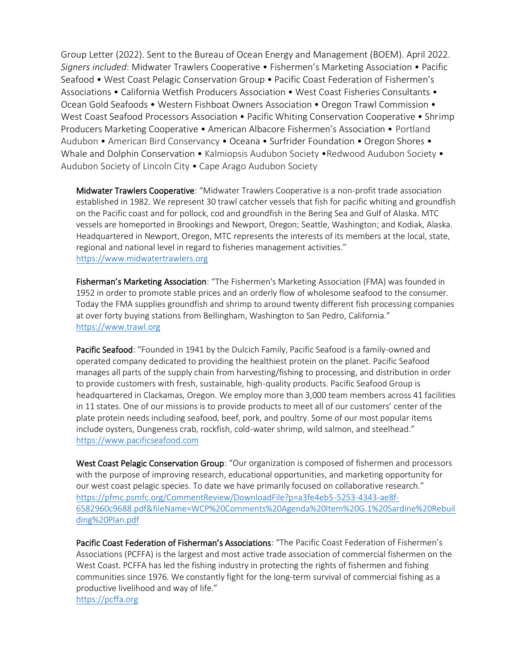Group Letter (2022). Sent to the Bureau of Ocean Energy and Management (BOEM). April 2022. *Signers included*: Midwater Trawlers Cooperative • Fishermen's Marketing Association • Pacific Seafood • West Coast Pelagic Conservation Group • Pacific Coast Federation of Fishermen's Associations • California Wetfish Producers Association • West Coast Fisheries Consultants • Ocean Gold Seafoods • Western Fishboat Owners Association • Oregon Trawl Commission • West Coast Seafood Processors Association • Pacific Whiting Conservation Cooperative • Shrimp Producers Marketing Cooperative • American Albacore Fishermen's Association • Portland Audubon • American Bird Conservancy • Oceana • Surfrider Foundation • Oregon Shores • Whale and Dolphin Conservation • Kalmiopsis Audubon Society • Redwood Audubon Society • Audubon Society of Lincoln City • Cape Arago Audubon Society

Midwater Trawlers Cooperative: "Midwater Trawlers Cooperative is a non-profit trade association established in 1982. We represent 30 trawl catcher vessels that fish for pacific whiting and groundfish on the Pacific coast and for pollock, cod and groundfish in the Bering Sea and Gulf of Alaska. MTC vessels are homeported in Brookings and Newport, Oregon; Seattle, Washington; and Kodiak, Alaska. Headquartered in Newport, Oregon, MTC represents the interests of its members at the local, state, regional and national level in regard to fisheries management activities." [https://www.midwatertrawlers.org](https://www.midwatertrawlers.org/)

Fisherman's Marketing Association: "The Fishermen's Marketing Association (FMA) was founded in 1952 in order to promote stable prices and an orderly flow of wholesome seafood to the consumer. Today the FMA supplies groundfish and shrimp to around twenty different fish processing companies at over forty buying stations from Bellingham, Washington to San Pedro, California." [https://www.trawl.org](https://www.trawl.org/)

Pacific Seafood: "Founded in 1941 by the Dulcich Family, Pacific Seafood is a family-owned and operated company dedicated to providing the healthiest protein on the planet. Pacific Seafood manages all parts of the supply chain from harvesting/fishing to processing, and distribution in order to provide customers with fresh, sustainable, high-quality products. Pacific Seafood Group is headquartered in Clackamas, Oregon. We employ more than 3,000 team members across 41 facilities in 11 states. One of our missions is to provide products to meet all of our customers' center of the plate protein needs including seafood, beef, pork, and poultry. Some of our most popular items include oysters, Dungeness crab, rockfish, cold-water shrimp, wild salmon, and steelhead." [https://www.pacificseafood.com](https://www.pacificseafood.com/)

West Coast Pelagic Conservation Group: "Our organization is composed of fishermen and processors with the purpose of improving research, educational opportunities, and marketing opportunity for our west coast pelagic species. To date we have primarily focused on collaborative research." [https://pfmc.psmfc.org/CommentReview/DownloadFile?p=a3fe4eb5-5253-4343-ae8f-](https://pfmc.psmfc.org/CommentReview/DownloadFile?p=a3fe4eb5-5253-4343-ae8f-6582960c9688.pdf&fileName=WCP%20Comments%20Agenda%20Item%20G.1%20Sardine%20Rebuilding%20Plan.pdf)[6582960c9688.pdf&fileName=WCP%20Comments%20Agenda%20Item%20G.1%20Sardine%20Rebuil](https://pfmc.psmfc.org/CommentReview/DownloadFile?p=a3fe4eb5-5253-4343-ae8f-6582960c9688.pdf&fileName=WCP%20Comments%20Agenda%20Item%20G.1%20Sardine%20Rebuilding%20Plan.pdf) [ding%20Plan.pdf](https://pfmc.psmfc.org/CommentReview/DownloadFile?p=a3fe4eb5-5253-4343-ae8f-6582960c9688.pdf&fileName=WCP%20Comments%20Agenda%20Item%20G.1%20Sardine%20Rebuilding%20Plan.pdf)

Pacific Coast Federation of Fisherman's Associations: "The Pacific Coast Federation of Fishermen's Associations (PCFFA) is the largest and most active trade association of commercial fishermen on the West Coast. PCFFA has led the fishing industry in protecting the rights of fishermen and fishing communities since 1976. We constantly fight for the long-term survival of commercial fishing as a productive livelihood and way of life." [https://pcffa.org](https://pcffa.org/)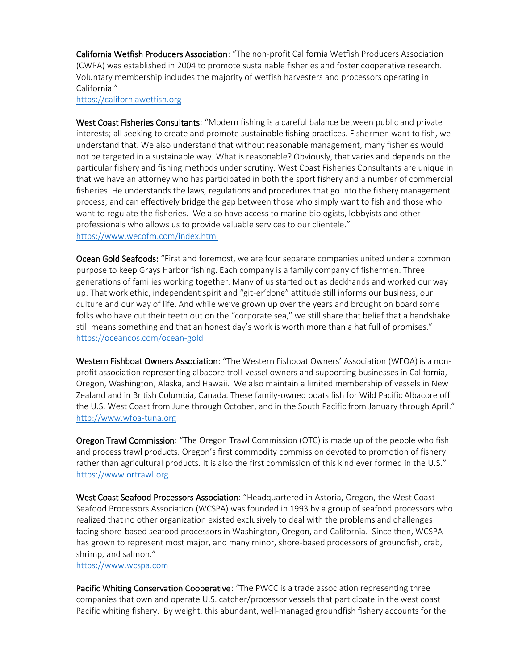California Wetfish Producers Association: "The non-profit California Wetfish Producers Association (CWPA) was established in 2004 to promote sustainable fisheries and foster cooperative research. Voluntary membership includes the majority of wetfish harvesters and processors operating in California."

[https://californiawetfish.org](https://californiawetfish.org/)

West Coast Fisheries Consultants: "Modern fishing is a careful balance between public and private interests; all seeking to create and promote sustainable fishing practices. Fishermen want to fish, we understand that. We also understand that without reasonable management, many fisheries would not be targeted in a sustainable way. What is reasonable? Obviously, that varies and depends on the particular fishery and fishing methods under scrutiny. West Coast Fisheries Consultants are unique in that we have an attorney who has participated in both the sport fishery and a number of commercial fisheries. He understands the laws, regulations and procedures that go into the fishery management process; and can effectively bridge the gap between those who simply want to fish and those who want to regulate the fisheries. We also have access to marine biologists, lobbyists and other professionals who allows us to provide valuable services to our clientele." <https://www.wecofm.com/index.html>

Ocean Gold Seafoods: "First and foremost, we are four separate companies united under a common purpose to keep Grays Harbor fishing. Each company is a family company of fishermen. Three generations of families working together. Many of us started out as deckhands and worked our way up. That work ethic, independent spirit and "git-er'done" attitude still informs our business, our culture and our way of life. And while we've grown up over the years and brought on board some folks who have cut their teeth out on the "corporate sea," we still share that belief that a handshake still means something and that an honest day's work is worth more than a hat full of promises." <https://oceancos.com/ocean-gold>

Western Fishboat Owners Association: "The Western Fishboat Owners' Association (WFOA) is a nonprofit association representing albacore troll-vessel owners and supporting businesses in California, Oregon, Washington, Alaska, and Hawaii. We also maintain a limited membership of vessels in New Zealand and in British Columbia, Canada. These family-owned boats fish for Wild Pacific Albacore off the U.S. West Coast from June through October, and in the South Pacific from January through April." [http://www.wfoa-tuna.org](http://www.wfoa-tuna.org/)

Oregon Trawl Commission: "The Oregon Trawl Commission (OTC) is made up of the people who fish and process trawl products. Oregon's first commodity commission devoted to promotion of fishery rather than agricultural products. It is also the first commission of this kind ever formed in the U.S." [https://www.ortrawl.org](https://www.ortrawl.org/)

West Coast Seafood Processors Association: "Headquartered in Astoria, Oregon, the West Coast Seafood Processors Association (WCSPA) was founded in 1993 by a group of seafood processors who realized that no other organization existed exclusively to deal with the problems and challenges facing shore-based seafood processors in Washington, Oregon, and California. Since then, WCSPA has grown to represent most major, and many minor, shore-based processors of groundfish, crab, shrimp, and salmon."

[https://www.wcspa.com](https://www.wcspa.com/)

Pacific Whiting Conservation Cooperative: "The PWCC is a trade association representing three companies that own and operate U.S. catcher/processor vessels that participate in the west coast Pacific whiting fishery. By weight, this abundant, well-managed groundfish fishery accounts for the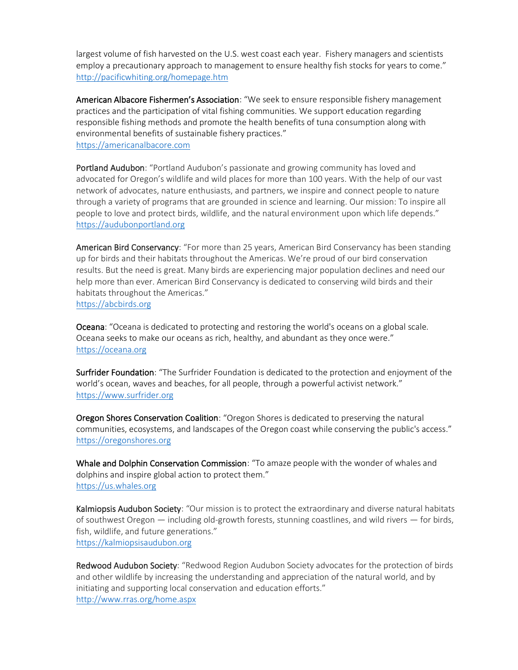largest volume of fish harvested on the U.S. west coast each year. Fishery managers and scientists employ a precautionary approach to management to ensure healthy fish stocks for years to come." <http://pacificwhiting.org/homepage.htm>

American Albacore Fishermen's Association: "We seek to ensure responsible fishery management practices and the participation of vital fishing communities. We support education regarding responsible fishing methods and promote the health benefits of tuna consumption along with environmental benefits of sustainable fishery practices." [https://americanalbacore.com](https://americanalbacore.com/)

Portland Audubon: "Portland Audubon's passionate and growing community has loved and advocated for Oregon's wildlife and wild places for more than 100 years. With the help of our vast network of advocates, nature enthusiasts, and partners, we inspire and connect people to nature through a variety of programs that are grounded in science and learning. Our mission: To inspire all people to love and protect birds, wildlife, and the natural environment upon which life depends." [https://audubonportland.org](https://audubonportland.org/)

American Bird Conservancy: "For more than 25 years, American Bird Conservancy has been standing up for birds and their habitats throughout the Americas. We're proud of our bird conservation results. But the need is great. Many birds are experiencing major population declines and need our help more than ever. American Bird Conservancy is dedicated to conserving wild birds and their habitats throughout the Americas." [https://abcbirds.org](https://abcbirds.org/)

Oceana: "Oceana is dedicated to protecting and restoring the world's oceans on a global scale. Oceana seeks to make our oceans as rich, healthy, and abundant as they once were." [https://oceana.org](https://oceana.org/)

Surfrider Foundation: "The Surfrider Foundation is dedicated to the protection and enjoyment of the world's ocean, waves and beaches, for all people, through a powerful activist network." [https://www.surfrider.org](https://www.surfrider.org/)

Oregon Shores Conservation Coalition: "Oregon Shores is dedicated to preserving the natural communities, ecosystems, and landscapes of the Oregon coast while conserving the public's access." [https://oregonshores.org](https://oregonshores.org/)

Whale and Dolphin Conservation Commission: "To amaze people with the wonder of whales and dolphins and inspire global action to protect them." [https://us.whales.org](https://us.whales.org/)

Kalmiopsis Audubon Society: "Our mission is to protect the extraordinary and diverse natural habitats of southwest Oregon — including old-growth forests, stunning coastlines, and wild rivers — for birds, fish, wildlife, and future generations." [https://kalmiopsisaudubon.org](https://kalmiopsisaudubon.org/)

Redwood Audubon Society: "Redwood Region Audubon Society advocates for the protection of birds and other wildlife by increasing the understanding and appreciation of the natural world, and by initiating and supporting local conservation and education efforts." <http://www.rras.org/home.aspx>